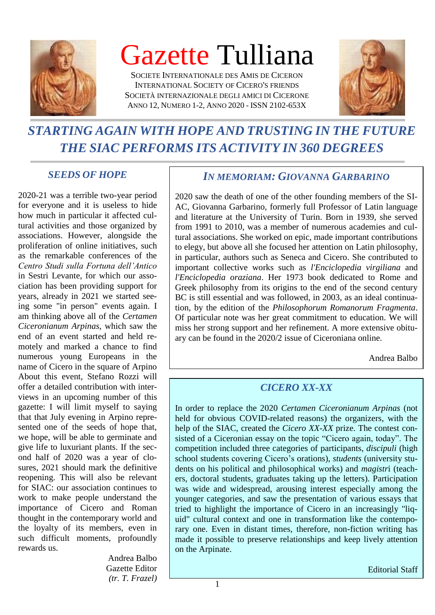

# Gazette Tulliana

SOCIETE INTERNATIONALE DES AMIS DE CICERON INTERNATIONAL SOCIETY OF CICERO'S FRIENDS SOCIETÀ INTERNAZIONALE DEGLI AMICI DI CICERONE ANNO 12, NUMERO 1-2, ANNO 2020 - ISSN 2102-653X



## *STARTING AGAIN WITH HOPE AND TRUSTING IN THE FUTURE THE SIAC PERFORMS ITS ACTIVITY IN 360 DEGREES*

### *SEEDS OF HOPE*

2020-21 was a terrible two-year period for everyone and it is useless to hide how much in particular it affected cultural activities and those organized by associations. However, alongside the proliferation of online initiatives, such as the remarkable conferences of the *Centro Studi sulla Fortuna dell'Antico* in Sestri Levante, for which our association has been providing support for years, already in 2021 we started seeing some "in person" events again. I am thinking above all of the *Certamen Ciceronianum Arpinas*, which saw the end of an event started and held remotely and marked a chance to find numerous young Europeans in the name of Cicero in the square of Arpino About this event, Stefano Rozzi will offer a detailed contribution with interviews in an upcoming number of this gazette: I will limit myself to saying that that July evening in Arpino represented one of the seeds of hope that, we hope, will be able to germinate and give life to luxuriant plants. If the second half of 2020 was a year of closures, 2021 should mark the definitive reopening. This will also be relevant for SIAC: our association continues to work to make people understand the importance of Cicero and Roman thought in the contemporary world and the loyalty of its members, even in such difficult moments, profoundly rewards us.

> Andrea Balbo Gazette Editor *(tr. T. Frazel)*

### *IN MEMORIAM: GIOVANNA GARBARINO*

2020 saw the death of one of the other founding members of the SI-AC, Giovanna Garbarino, formerly full Professor of Latin language and literature at the University of Turin. Born in 1939, she served from 1991 to 2010, was a member of numerous academies and cultural associations. She worked on epic, made important contributions to elegy, but above all she focused her attention on Latin philosophy, in particular, authors such as Seneca and Cicero. She contributed to important collective works such as *l'Enciclopedia virgiliana* and *l'Enciclopedia oraziana*. Her 1973 book dedicated to Rome and Greek philosophy from its origins to the end of the second century BC is still essential and was followed, in 2003, as an ideal continuation, by the edition of the *Philosophorum Romanorum Fragmenta*. Of particular note was her great commitment to education. We will miss her strong support and her refinement. A more extensive obituary can be found in the 2020/2 issue of Ciceroniana online.

Andrea Balbo

### *CICERO XX-XX*

In order to replace the 2020 *Certamen Ciceronianum Arpinas* (not held for obvious COVID-related reasons) the organizers, with the help of the SIAC, created the *Cicero XX-XX* prize. The contest consisted of a Ciceronian essay on the topic "Cicero again, today". The competition included three categories of participants, *discipuli* (high school students covering Cicero's orations), *students* (university students on his political and philosophical works) and *magistr*i (teachers, doctoral students, graduates taking up the letters). Participation was wide and widespread, arousing interest especially among the younger categories, and saw the presentation of various essays that tried to highlight the importance of Cicero in an increasingly "liquid" cultural context and one in transformation like the contemporary one. Even in distant times, therefore, non-fiction writing has made it possible to preserve relationships and keep lively attention on the Arpinate.

Editorial Staff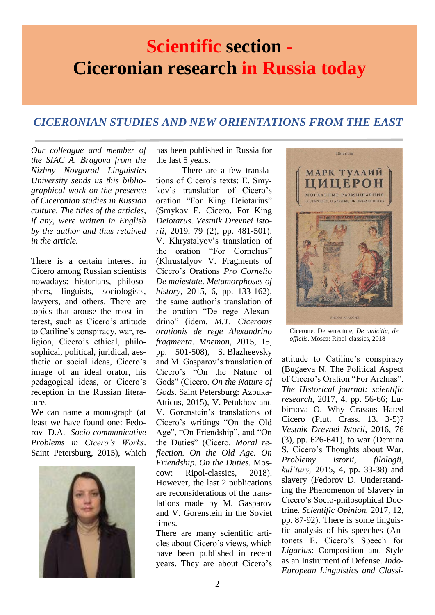## An **Scientific section - Ciceronian research in Russia today**

### *CICERONIAN STUDIES AND NEW ORIENTATIONS FROM THE EAST*

*Our colleague and member of the SIAC A. Bragova from the Nizhny Novgorod Linguistics University sends us this bibliographical work on the presence of Ciceronian studies in Russian culture. The titles of the articles, if any, were written in English by the author and thus retained in the article.*

There is a certain interest in Cicero among Russian scientists nowadays: historians, philosophers, linguists, sociologists, lawyers, and others. There are topics that arouse the most interest, such as Cicero's attitude to Catiline's conspiracy, war, religion, Cicero's ethical, philosophical, political, juridical, aesthetic or social ideas, Cicero's image of an ideal orator, his pedagogical ideas, or Cicero's reception in the Russian literature.

We can name a monograph (at least we have found one: Fedorov D.A. *Socio-communicative Problems in Cicero's Works*. Saint Petersburg, 2015), which



has been published in Russia for the last 5 years.

There are a few translations of Cicero's texts: E. Smykov's translation of Cicero's oration "For King Deiotarius" (Smykov E. Cicero. For King *Deiotarus*. *Vestnik Drevnei Istorii*, 2019, 79 (2), pp. 481-501), V. Khrystalyov's translation of the oration "For Cornelius" (Khrustalyov V. Fragments of Cicero's Orations *Pro Cornelio De maiestate*. *Metamorphoses of history*, 2015, 6, pp. 133-162), the same author's translation of the oration "De rege Alexandrino" (idem. *M.T. Ciceronis orationis de rege Alexandrino fragmenta*. *Mnemon*, 2015, 15, pp. 501-508), S. Blazheevsky and M. Gasparov's translation of Cicero's "On the Nature of Gods" (Cicero. *On the Nature of Gods*. Saint Petersburg: Azbuka-Atticus, 2015), V. Petukhov and V. Gorenstein's translations of Cicero's writings "On the Old Age", "On Friendship", and "On the Duties" (Cicero. *Moral reflection. On the Old Age. On Friendship. On the Duties.* Moscow: Ripol-classics, 2018). However, the last 2 publications are reconsiderations of the translations made by M. Gasparov and V. Gorenstein in the Soviet times.

There are many scientific articles about Cicero's views, which have been published in recent years. They are about Cicero's



Cicerone. De senectute, *De amicitia, de officiis.* Mosca: Ripol-classics, 2018

attitude to Catiline's conspiracy (Bugaeva N. The Political Aspect of Cicero's Oration "For Archias". *The Historical journal: scientific research*, 2017, 4, pp. 56-66; Lubimova O. Why Crassus Hated Cicero (Plut. Crass. 13. 3-5)? *Vestnik Drevnei Istorii*, 2016, 76 (3), pp. 626-641), to war (Demina S. Cicero's Thoughts about War. *Problemy istorii, filologii, kul'tury,* 2015, 4, pp. 33-38) and slavery (Fedorov D. Understanding the Phenomenon of Slavery in Cicero's Socio-philosophical Doctrine. *Scientific Opinion.* 2017, 12, pp. 87-92). There is some linguistic analysis of his speeches (Antonets E. Cicero's Speech for *Ligarius*: Composition and Style as an Instrument of Defense. *Indo-European Linguistics and Classi-*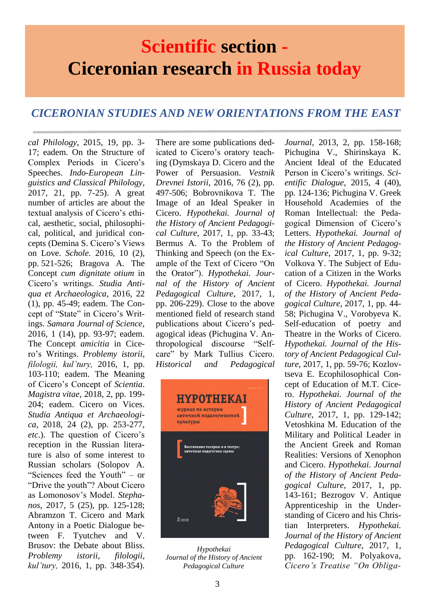## **Scientific section - Ciceronian research in Russia today**

### *CICERONIAN STUDIES AND NEW ORIENTATIONS FROM THE EAST*

*cal Philology*, 2015, 19, pp. 3- 17; eadem. On the Structure of Complex Periods in Cicero's Speeches. *Indo-European Linguistics and Classical Philology*, 2017, 21, pp. 7-25). A great number of articles are about the textual analysis of Cicero's ethical, aesthetic, social, philosophical, political, and juridical concepts (Demina S. Cicero's Views on Love. *Schole.* 2016*,* 10 (2), pp. 521-526; Bragova A. The Concept *cum dignitate otium* in Cicero's writings. *Studia Antiqua et Archaeologica*, 2016, 22 (1), pp. 45-49; eadem. The Concept of "State" in Cicero's Writings. *Samara Journal of Science*, 2016, 1 (14), pp. 93-97; eadem. The Concept *amicitia* in Cicero's Writings. *Problemy istorii, filologii, kul'tury,* 2016, 1, pp. 103-110; eadem. The Meaning of Cicero's Concept of *Scientia*. *Magistra vitae*, 2018, 2, pp. 199- 204; eadem. Cicero on Vices. *Studia Antiqua et Archaeologica*, 2018, 24 (2), pp. 253-277, *etc*.). The question of Cicero's reception in the Russian literature is also of some interest to Russian scholars (Solopov A. "Sciences feed the Youth" – or "Drive the youth"? About Cicero as Lomonosov's Model. *Stephanos*, 2017, 5 (25), pp. 125-128; Abramzon T. Cicero and Mark Antony in a Poetic Dialogue between F. Tyutchev and V. Brusov: the Debate about Bliss. *Problemy istorii, filologii, kul'tury,* 2016, 1, pp. 348-354).

There are some publications dedicated to Cicero's oratory teaching (Dymskaya D. Cicero and the Power of Persuasion. *Vestnik Drevnei Istorii*, 2016, 76 (2), pp. 497-506; Bobrovnikova T. The Image of an Ideal Speaker in Cicero. *Hypothekai. Journal of the History of Ancient Pedagogical Culture*, 2017, 1, pp. 33-43; Bermus A. To the Problem of Thinking and Speech (on the Example of the Text of Cicero "On the Orator"). *Hypothekai. Journal of the History of Ancient Pedagogical Culture*, 2017, 1, pp. 206-229). Close to the above mentioned field of research stand publications about Cicero's pedagogical ideas (Pichugina V. Anthropological discourse "Selfcare" by Mark Tullius Cicero. *Historical and Pedagogical* 



*Hypothekai Journal of the History of Ancient Pedagogical Culture*

*Journal*, 2013, 2, pp. 158-168; Pichugina V., Shirinskaya K. Ancient Ideal of the Educated Person in Cicero's writings. *Scientific Dialogue*, 2015, 4 (40), pp. 124-136; Pichugina V. Greek Household Academies of the Roman Intellectual: the Pedagogical Dimension of Cicero's Letters. *Hypothekai. Journal of the History of Ancient Pedagogical Culture*, 2017, 1, pp. 9-32; Volkova Y. The Subject of Education of a Citizen in the Works of Cicero. *Hypothekai. Journal of the History of Ancient Pedagogical Culture*, 2017, 1, pp. 44- 58; Pichugina V., Vorobyeva K. Self-education of poetry and Theatre in the Works of Cicero. *Hypothekai. Journal of the History of Ancient Pedagogical Culture*, 2017, 1, pp. 59-76; Kozlovtseva E. Ecophilosophical Concept of Education of M.T. Cicero. *Hypothekai. Journal of the History of Ancient Pedagogical Culture*, 2017, 1, pp. 129-142; Vetoshkina M. Education of the Military and Political Leader in the Ancient Greek and Roman Realities: Versions of Xenophon and Cicero. *Hypothekai. Journal of the History of Ancient Pedagogical Culture*, 2017, 1, pp. 143-161; Bezrogov V. Antique Apprenticeship in the Understanding of Cicero and his Christian Interpreters. *Hypothekai. Journal of the History of Ancient Pedagogical Culture*, 2017, 1, pp. 162-190; M. Polyakova, *Cicero's Treatise "On Obliga-*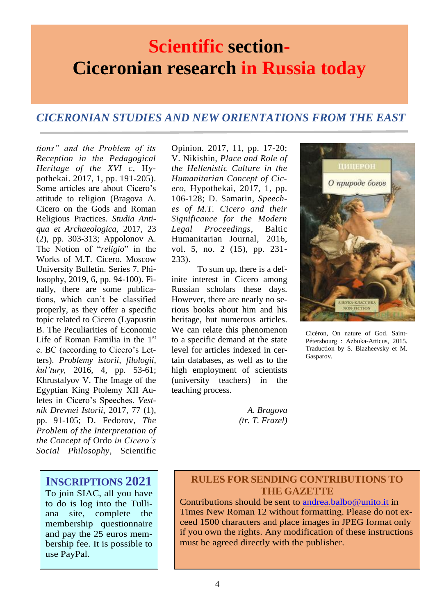## **Scientific section-Ciceronian research in Russia today**

### *CICERONIAN STUDIES AND NEW ORIENTATIONS FROM THE EAST*

*tions" and the Problem of its Reception in the Pedagogical Heritage of the XVI c*, Hypothekai. 2017, 1, pp. 191-205). Some articles are about Cicero's attitude to religion (Bragova A. Cicero on the Gods and Roman Religious Practices. *Studia Antiqua et Archaeologica*, 2017, 23 (2), pp. 303-313; Appolonov A. The Notion of "*religio*" in the Works of M.T. Cicero. Moscow University Bulletin. Series 7. Philosophy, 2019, 6, pp. 94-100). Finally, there are some publications, which can't be classified properly, as they offer a specific topic related to Cicero (Lyapustin B. The Peculiarities of Economic Life of Roman Familia in the 1st c. BC (according to Cicero's Letters). *Problemy istorii, filologii, kul'tury,* 2016, 4, pp. 53-61; Khrustalyov V. The Image of the Egyptian King Ptolemy XII Auletes in Cicero's Speeches. *Vestnik Drevnei Istorii*, 2017, 77 (1), pp. 91-105; D. Fedorov, *The Problem of the Interpretation of the Concept of* Ordo *in Cicero's Social Philosophy*, Scientific

**INSCRIPTIONS 2021**

To join SIAC, all you have to do is log into the Tulliana site, complete the membership questionnaire and pay the 25 euros membership fee. It is possible to use PayPal.

Opinion*.* 2017, 11, pp. 17-20; V. Nikishin, *Place and Role of the Hellenistic Culture in the Humanitarian Concept of Cicero*, Hypothekai, 2017, 1, pp. 106-128; D. Samarin, *Speeches of M.T. Cicero and their Significance for the Modern Legal Proceedings*, Baltic Humanitarian Journal, 2016, vol. 5, no. 2 (15), pp. 231- 233).

To sum up, there is a definite interest in Cicero among Russian scholars these days. However, there are nearly no serious books about him and his heritage, but numerous articles. We can relate this phenomenon to a specific demand at the state level for articles indexed in certain databases, as well as to the high employment of scientists (university teachers) in the teaching process.



Cicéron, On nature of God. Saint-Pétersbourg : Azbuka-Atticus, 2015. Traduction by S. Blazheevsky et M. Gasparov.

*A. Bragova (tr. T. Frazel)*

### **RULES FOR SENDING CONTRIBUTIONS TO THE GAZETTE**

Contributions should be sent to [andrea.balbo@unito.it](mailto:andrea.balbo@unito.it) in Times New Roman 12 without formatting. Please do not exceed 1500 characters and place images in JPEG format only if you own the rights. Any modification of these instructions must be agreed directly with the publisher.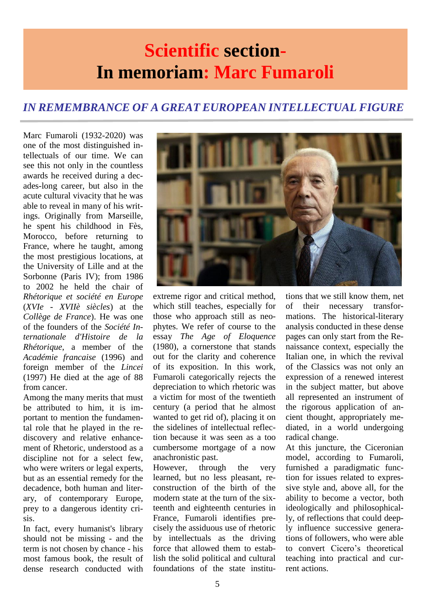## **Scientific section-In memoriam: Marc Fumaroli**

## *IN REMEMBRANCE OF A GREAT EUROPEAN INTELLECTUAL FIGURE*

Marc Fumaroli (1932-2020) was one of the most distinguished intellectuals of our time. We can see this not only in the countless awards he received during a decades-long career, but also in the acute cultural vivacity that he was able to reveal in many of his writings. Originally from Marseille, he spent his childhood in Fès, Morocco, before returning to France, where he taught, among the most prestigious locations, at the University of Lille and at the Sorbonne (Paris IV); from 1986 to 2002 he held the chair of *Rhétorique et société en Europe* (*XVIe - XVIIè siècles*) at the *Collège de France*). He was one of the founders of the *Société Internationale d'Histoire de la Rhétorique*, a member of the *Académie francaise* (1996) and foreign member of the *Lincei* (1997) He died at the age of 88 from cancer.

Among the many merits that must be attributed to him, it is important to mention the fundamental role that he played in the rediscovery and relative enhancement of Rhetoric, understood as a discipline not for a select few, who were writers or legal experts, but as an essential remedy for the decadence, both human and literary, of contemporary Europe, prey to a dangerous identity crisis.

In fact, every humanist's library should not be missing - and the term is not chosen by chance - his most famous book, the result of dense research conducted with



extreme rigor and critical method, which still teaches, especially for those who approach still as neophytes. We refer of course to the essay *The Age of Eloquence* (1980), a cornerstone that stands out for the clarity and coherence of its exposition. In this work, Fumaroli categorically rejects the depreciation to which rhetoric was a victim for most of the twentieth century (a period that he almost wanted to get rid of), placing it on the sidelines of intellectual reflection because it was seen as a too cumbersome mortgage of a now anachronistic past.

However, through the very learned, but no less pleasant, reconstruction of the birth of the modern state at the turn of the sixteenth and eighteenth centuries in France, Fumaroli identifies precisely the assiduous use of rhetoric by intellectuals as the driving force that allowed them to establish the solid political and cultural foundations of the state institutions that we still know them, net of their necessary transformations. The historical-literary analysis conducted in these dense pages can only start from the Renaissance context, especially the Italian one, in which the revival of the Classics was not only an expression of a renewed interest in the subject matter, but above all represented an instrument of the rigorous application of ancient thought, appropriately mediated, in a world undergoing radical change.

At this juncture, the Ciceronian model, according to Fumaroli, furnished a paradigmatic function for issues related to expressive style and, above all, for the ability to become a vector, both ideologically and philosophically, of reflections that could deeply influence successive generations of followers, who were able to convert Cicero's theoretical teaching into practical and current actions.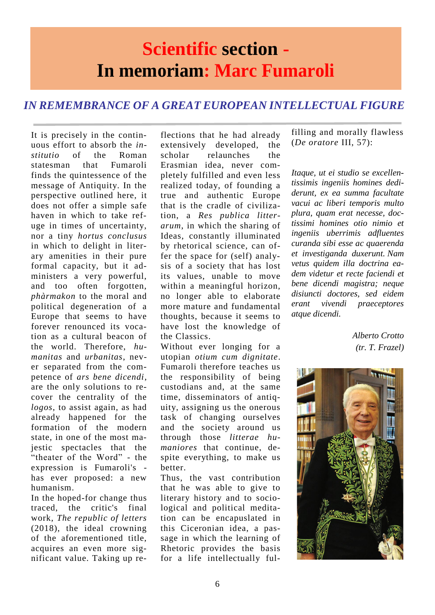## **Scientific section - In memoriam: Marc Fumaroli**

## *IN REMEMBRANCE OF A GREAT EUROPEAN INTELLECTUAL FIGURE*

It is precisely in the continuous effort to absorb the *institutio* of the Roman statesman that Fumaroli finds the quintessence of the message of Antiquity. In the perspective outlined here, it does not offer a simple safe haven in which to take refuge in times of uncertainty, nor a tiny *hortus conclusus* in which to delight in literary amenities in their pure formal capacity, but it administers a very powerful, and too often forgotten, *phàrmakon* to the moral and political degeneration of a Europe that seems to have forever renounced its vocation as a cultural beacon of the world. Therefore, *humanitas* and *urbanitas*, never separated from the competence of *ars bene dicendi*, are the only solutions to recover the centrality of the *logos*, to assist again, as had already happened for the formation of the modern state, in one of the most majestic spectacles that the "theater of the Word" - the expression is Fumaroli's has ever proposed: a new humanism.

In the hoped-for change thus traced, the critic's final work, *The republic of letters* (2018), the ideal crowning of the aforementioned title, acquires an even more significant value. Taking up reflections that he had already extensively developed, the scholar relaunches the Erasmian idea, never completely fulfilled and even less realized today, of founding a true and authentic Europe that is the cradle of civilization, a *Res publica litterarum*, in which the sharing of Ideas, constantly illuminated by rhetorical science, can offer the space for (self) analysis of a society that has lost its values, unable to move within a meaningful horizon, no longer able to elaborate more mature and fundamental thoughts, because it seems to have lost the knowledge of the Classics.

Without ever longing for a utopian *otium cum dignitate*. Fumaroli therefore teaches us the responsibility of being custodians and, at the same time, disseminators of antiquity, assigning us the onerous task of changing ourselves and the society around us through those *litterae humaniores* that continue, despite everything, to make us better.

Thus, the vast contribution that he was able to give to literary history and to sociological and political meditation can be encapuslated in this Ciceronian idea, a passage in which the learning of Rhetoric provides the basis for a life intellectually fulfilling and morally flawless (*De oratore* III, 57):

*Itaque, ut ei studio se excellentissimis ingeniis homines dediderunt, ex ea summa facultate vacui ac liberi temporis multo plura, quam erat necesse, doctissimi homines otio nimio et ingeniis uberrimis adfluentes curanda sibi esse ac quaerenda et investiganda duxerunt. Nam vetus quidem illa doctrina eadem videtur et recte faciendi et bene dicendi magistra; neque disiuncti doctores, sed eidem erant vivendi praeceptores atque dicendi.*

> *Alberto Crotto (tr. T. Frazel)*

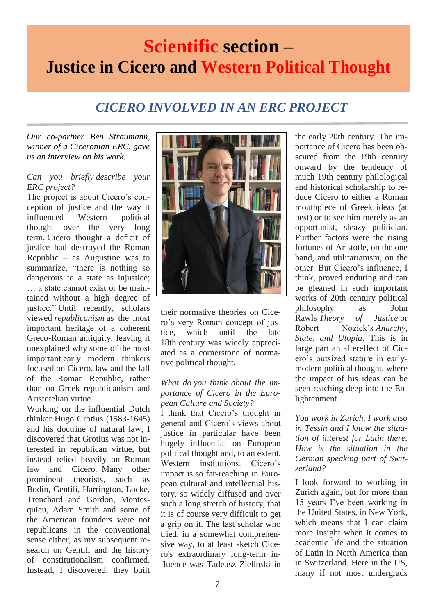## **Scientific section – Justice in Cicero and Western Political Thought**

## *CICERO INVOLVED IN AN ERC PROJECT*

*Our co-partner Ben Straumann, winner of a Ciceronian ERC, gave us an interview on his work.*

#### *Can you briefly describe your ERC project?*

The project is about Cicero's conception of justice and the way it influenced Western political thought over the very long term. Cicero thought a deficit of justice had destroyed the Roman Republic – as Augustine was to summarize, "there is nothing so dangerous to a state as injustice; … a state cannot exist or be maintained without a high degree of justice." Until recently, scholars viewed *republicanism* as the most important heritage of a coherent Greco-Roman antiquity, leaving it unexplained why some of the most important early modern thinkers focused on Cicero, law and the fall of the Roman Republic, rather than on Greek republicanism and Aristotelian virtue.

Working on the influential Dutch thinker Hugo Grotius (1583-1645) and his doctrine of natural law, I discovered that Grotius was not interested in republican virtue, but instead relied heavily on Roman law and Cicero. Many other prominent theorists, such as Bodin, Gentili, Harrington, Locke, Trenchard and Gordon, Montesquieu, Adam Smith and some of the American founders were not republicans in the conventional sense either, as my subsequent research on Gentili and the history of constitutionalism confirmed. Instead, I discovered, they built



their normative theories on Cicero's very Roman concept of justice, which until the late 18th century was widely appreciated as a cornerstone of normative political thought.

#### *What do you think about the importance of Cicero in the European Culture and Society?*

I think that Cicero's thought in general and Cicero's views about justice in particular have been hugely influential on European political thought and, to an extent, Western institutions. Cicero's impact is so far-reaching in European cultural and intellectual history, so widely diffused and over such a long stretch of history, that it is of course very difficult to get a grip on it. The last scholar who tried, in a somewhat comprehensive way, to at least sketch Cicero's extraordinary long-term influence was Tadeusz Zielinski in the early 20th century. The importance of Cicero has been obscured from the 19th century onward by the tendency of much 19th century philological and historical scholarship to reduce Cicero to either a Roman mouthpiece of Greek ideas (at best) or to see him merely as an opportunist, sleazy politician. Further factors were the rising fortunes of Aristotle, on the one hand, and utilitarianism, on the other. But Cicero's influence, I think, proved enduring and can be gleaned in such important works of 20th century political philosophy as John Rawls *Theory of Justice* or Robert Nozick's *Anarchy, State, and Utopia*. This is in large part an aftereffect of Cicero's outsized stature in earlymodern political thought, where the impact of his ideas can be seen reaching deep into the Enlightenment.

*You work in Zurich. I work also in Tessin and I know the situation of interest for Latin there. How is the situation in the German speaking part of Switzerland?*

I look forward to working in Zurich again, but for more than 15 years I've been working in the United States, in New York, which means that I can claim more insight when it comes to academic life and the situation of Latin in North America than in Switzerland. Here in the US, many if not most undergrads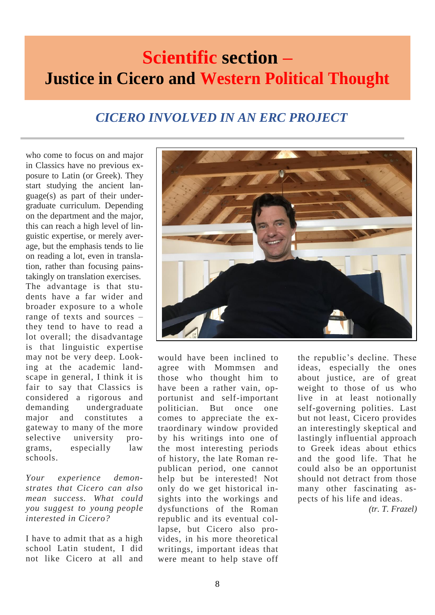## **Scientific section – Justice in Cicero and Western Political Thought**

## *CICERO INVOLVED IN AN ERC PROJECT*

who come to focus on and major in Classics have no previous exposure to Latin (or Greek). They start studying the ancient language(s) as part of their undergraduate curriculum. Depending on the department and the major, this can reach a high level of linguistic expertise, or merely average, but the emphasis tends to lie on reading a lot, even in translation, rather than focusing painstakingly on translation exercises. The advantage is that students have a far wider and broader exposure to a whole range of texts and sources – they tend to have to read a lot overall; the disadvantage is that linguistic expertise may not be very deep. Looking at the academic landscape in general, I think it is fair to say that Classics is considered a rigorous and demanding undergraduate major and constitutes a gateway to many of the more selective university programs, especially law schools.

*Your experience demonstrates that Cicero can also mean success. What could you suggest to young people interested in Cicero?*

I have to admit that as a high school Latin student, I did not like Cicero at all and



would have been inclined to agree with Mommsen and those who thought him to have been a rather vain, opportunist and self-important politician. But once one comes to appreciate the extraordinary window provided by his writings into one of the most interesting periods of history, the late Roman republican period, one cannot help but be interested! Not only do we get historical insights into the workings and dysfunctions of the Roman republic and its eventual collapse, but Cicero also provides, in his more theoretical writings, important ideas that were meant to help stave off

the republic's decline. These ideas, especially the ones about justice, are of great weight to those of us who live in at least notionally self-governing polities. Last but not least, Cicero provides an interestingly skeptical and lastingly influential approach to Greek ideas about ethics and the good life. That he could also be an opportunist should not detract from those many other fascinating aspects of his life and ideas.

*(tr. T. Frazel)*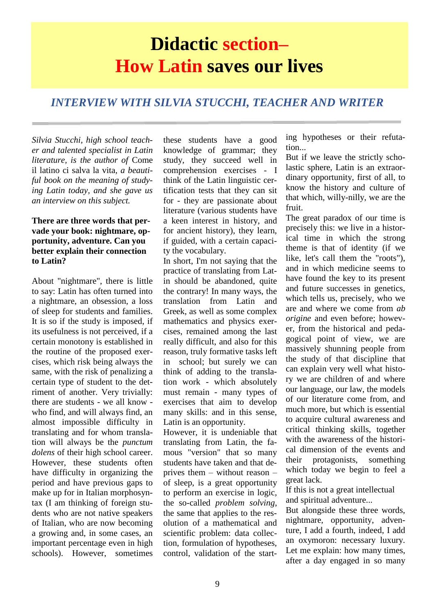## **Didactic section– How Latin saves our lives**

### *INTERVIEW WITH SILVIA STUCCHI, TEACHER AND WRITER*

*Silvia Stucchi, high school teacher and talented specialist in Latin literature, is the author of* Come il latino ci salva la vita*, a beautiful book on the meaning of studying Latin today, and she gave us an interview on this subject.*

#### **There are three words that pervade your book: nightmare, opportunity, adventure. Can you better explain their connection to Latin?**

About "nightmare", there is little to say: Latin has often turned into a nightmare, an obsession, a loss of sleep for students and families. It is so if the study is imposed, if its usefulness is not perceived, if a certain monotony is established in the routine of the proposed exercises, which risk being always the same, with the risk of penalizing a certain type of student to the detriment of another. Very trivially: there are students - we all know who find, and will always find, an almost impossible difficulty in translating and for whom translation will always be the *punctum dolens* of their high school career. However, these students often have difficulty in organizing the period and have previous gaps to make up for in Italian morphosyntax (I am thinking of foreign students who are not native speakers of Italian, who are now becoming a growing and, in some cases, an important percentage even in high schools). However, sometimes

these students have a good knowledge of grammar; they study, they succeed well in comprehension exercises - I think of the Latin linguistic certification tests that they can sit for - they are passionate about literature (various students have a keen interest in history, and for ancient history), they learn, if guided, with a certain capacity the vocabulary.

In short, I'm not saying that the practice of translating from Latin should be abandoned, quite the contrary! In many ways, the translation from Latin and Greek, as well as some complex mathematics and physics exercises, remained among the last really difficult, and also for this reason, truly formative tasks left in school; but surely we can think of adding to the translation work - which absolutely must remain - many types of exercises that aim to develop many skills: and in this sense, Latin is an opportunity.

However, it is undeniable that translating from Latin, the famous "version" that so many students have taken and that deprives them – without reason – of sleep, is a great opportunity to perform an exercise in logic, the so-called *problem solving*, the same that applies to the resolution of a mathematical and scientific problem: data collection, formulation of hypotheses, control, validation of the starting hypotheses or their refutation...

But if we leave the strictly scholastic sphere, Latin is an extraordinary opportunity, first of all, to know the history and culture of that which, willy-nilly, we are the fruit.

The great paradox of our time is precisely this: we live in a historical time in which the strong theme is that of identity (if we like, let's call them the "roots"), and in which medicine seems to have found the key to its present and future successes in genetics, which tells us, precisely, who we are and where we come from *ab origine* and even before; however, from the historical and pedagogical point of view, we are massively shunning people from the study of that discipline that can explain very well what history we are children of and where our language, our law, the models of our literature come from, and much more, but which is essential to acquire cultural awareness and critical thinking skills, together with the awareness of the historical dimension of the events and their protagonists, something which today we begin to feel a great lack.

If this is not a great intellectual and spiritual adventure...

But alongside these three words, nightmare, opportunity, adventure, I add a fourth, indeed, I add an oxymoron: necessary luxury. Let me explain: how many times, after a day engaged in so many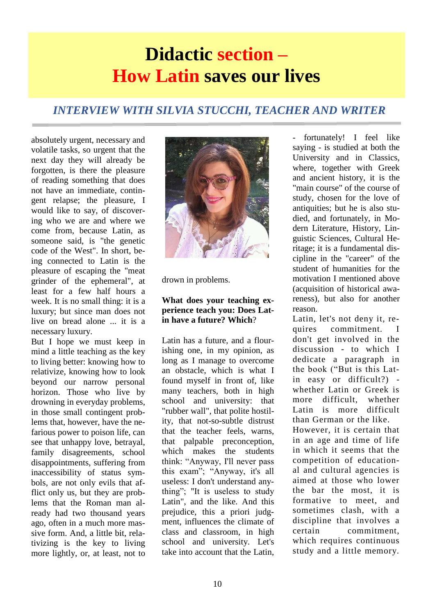## **Didactic section – How Latin saves our lives**

## *INTERVIEW WITH SILVIA STUCCHI, TEACHER AND WRITER*

absolutely urgent, necessary and volatile tasks, so urgent that the forgotten, is there the pleasure of reading something that does not have an immediate, contingent relapse; the pleasure, I would like to say, of discovering who we are and where we come from, because Latin, as someone said, is "the genetic code of the West". In short, being connected to Latin is the pleasure of escaping the "meat grinder of the ephemeral", at least for a few half hours a week. It is no small thing: it is a luxury; but since man does not live on bread alone ... it is a necessary luxury.

But I hope we must keep in mind a little teaching as the key to living better: knowing how to relativize, knowing how to look beyond our narrow personal horizon. Those who live by drowning in everyday problems, in those small contingent problems that, however, have the nefarious power to poison life, can see that unhappy love, betrayal, family disagreements, school disappointments, suffering from inaccessibility of status symbols, are not only evils that afflict only us, but they are problems that the Roman man already had two thousand years ago, often in a much more massive form. And, a little bit, relativizing is the key to living more lightly, or, at least, not to



drown in problems.

#### **What does your teaching experience teach you: Does Latin have a future? Which**?

Latin has a future, and a flourishing one, in my opinion, as long as I manage to overcome an obstacle, which is what I found myself in front of, like many teachers, both in high school and university: that "rubber wall", that polite hostility, that not-so-subtle distrust that the teacher feels, warns, that palpable preconception, which makes the students think: "Anyway, I'll never pass this exam"; "Anyway, it's all useless: I don't understand anything"; "It is useless to study Latin", and the like. And this prejudice, this a priori judgment, influences the climate of class and classroom, in high school and university. Let's take into account that the Latin,

- fortunately! I feel like saying - is studied at both the University and in Classics, where, together with Greek and ancient history, it is the "main course" of the course of study, chosen for the love of antiquities; but he is also studied, and fortunately, in Modern Literature, History, Linguistic Sciences, Cultural Heritage; it is a fundamental discipline in the "career" of the student of humanities for the motivation I mentioned above (acquisition of historical awareness), but also for another reason.

Latin, let's not deny it, requires commitment. I don't get involved in the discussion - to which I dedicate a paragraph in the book ("But is this Latin easy or difficult?) whether Latin or Greek is more difficult, whether Latin is more difficult than German or the like. However, it is certain that

in an age and time of life in which it seems that the competition of educational and cultural agencies is aimed at those who lower the bar the most, it is formative to meet, and sometimes clash, with a discipline that involves a certain commitment, which requires continuous study and a little memory.